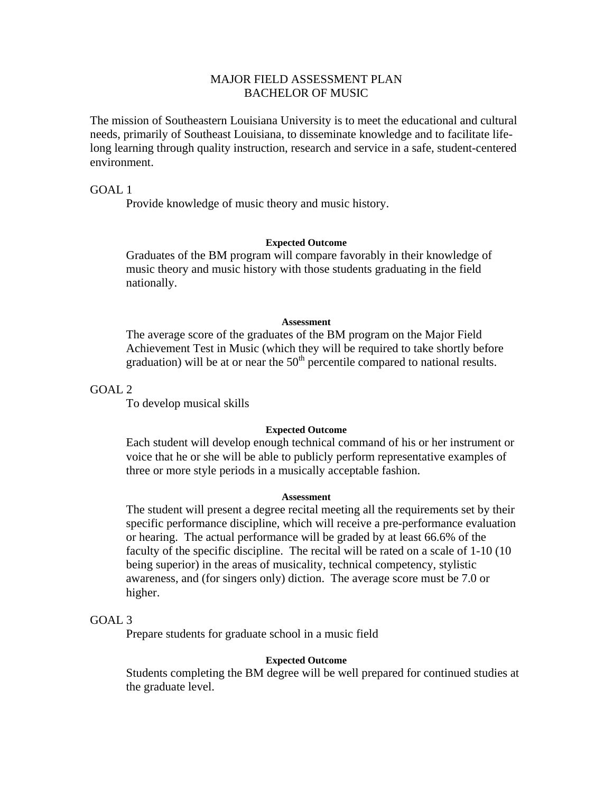# MAJOR FIELD ASSESSMENT PLAN BACHELOR OF MUSIC

The mission of Southeastern Louisiana University is to meet the educational and cultural needs, primarily of Southeast Louisiana, to disseminate knowledge and to facilitate lifelong learning through quality instruction, research and service in a safe, student-centered environment.

GOAL 1

Provide knowledge of music theory and music history.

### **Expected Outcome**

Graduates of the BM program will compare favorably in their knowledge of music theory and music history with those students graduating in the field nationally.

### **Assessment**

The average score of the graduates of the BM program on the Major Field Achievement Test in Music (which they will be required to take shortly before graduation) will be at or near the  $50<sup>th</sup>$  percentile compared to national results.

GOAL 2

To develop musical skills

### **Expected Outcome**

 Each student will develop enough technical command of his or her instrument or voice that he or she will be able to publicly perform representative examples of three or more style periods in a musically acceptable fashion.

## **Assessment**

 The student will present a degree recital meeting all the requirements set by their specific performance discipline, which will receive a pre-performance evaluation or hearing. The actual performance will be graded by at least 66.6% of the faculty of the specific discipline. The recital will be rated on a scale of 1-10 (10 being superior) in the areas of musicality, technical competency, stylistic awareness, and (for singers only) diction. The average score must be 7.0 or higher.

## GOAL 3

Prepare students for graduate school in a music field

#### **Expected Outcome**

 Students completing the BM degree will be well prepared for continued studies at the graduate level.